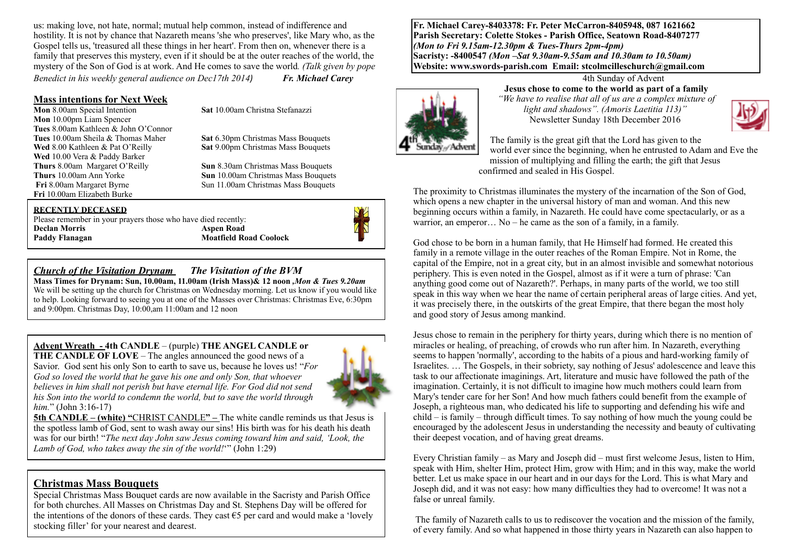us: making love, not hate, normal; mutual help common, instead of indifference and hostility. It is not by chance that Nazareth means 'she who preserves', like Mary who, as the Gospel tells us, 'treasured all these things in her heart'. From then on, whenever there is a family that preserves this mystery, even if it should be at the outer reaches of the world, the mystery of the Son of God is at work. And He comes to save the world*. (Talk given by pope Benedict in his weekly general audience on Dec17th 2014<i>Fr. Michael Carey* 

#### **Mass intentions for Next Week**

**Mon** 8.00am Special Intention **Sat** 10.00am Christna Stefanazzi **Mon** 10.00pm Liam Spencer **Tues** 8.00am Kathleen & John O'Connor **Wed** 10.00 Vera & Paddy Barker **Thurs 8.00am Margaret O'Reilly <b>Sun** 8.30am Christmas Mass Bouquets<br>**Thurs** 10.00am Ann Yorke **Sun** 10.00am Christmas Mass Bouquets **Fri** 10.00am Elizabeth Burke

**Tues** 10.00am Sheila & Thomas Maher **Sat** 6.30pm Christmas Mass Bouquets **Wed** 8.00 Kathleen & Pat O'Reilly **Sat** 9.00pm Christmas Mass Bouquets

**Thurs** 10.00am Ann Yorke **Sun** 10.00am Christmas Mass Bouquets<br>**Fri** 8.00am Margaret Byrne **Sun 11.00am Christmas Mass Bouquets Sun 11.00am Christmas Mass Bouquets** 

#### **RECENTLY DECEASED**

Please remember in your prayers those who have died recently: **Declan Morris Aspen Road** 

**Moatfield Road Coolock** 

#### *Church of the Visitation Drynam**The Visitation of the BVM*

**Mass Times for Drynam: Sun, 10.00am, 11.00am (Irish Mass)& 12 noon** *,Mon & Tues 9.20am*  We will be setting up the church for Christmas on Wednesday morning. Let us know if you would like to help. Looking forward to seeing you at one of the Masses over Christmas: Christmas Eve, 6:30pm and 9:00pm. Christmas Day, 10:00,am 11:00am and 12 noon

**Advent Wreath - 4th CANDLE** – (purple) **THE ANGEL CANDLE or** 

**THE CANDLE OF LOVE** – The angles announced the good news of a Savior. God sent his only Son to earth to save us, because he loves us! "*For God so loved the world that he gave his one and only Son, that whoever believes in him shall not perish but have eternal life. For God did not send his Son into the world to condemn the world, but to save the world through him.*" (John 3:16-17)



**5th CANDLE – (white) "CHRIST CANDLE" – The white candle reminds us that Jesus is** the spotless lamb of God, sent to wash away our sins! His birth was for his death his death was for our birth! "*The next day John saw Jesus coming toward him and said, 'Look, the Lamb of God, who takes away the sin of the world!*'" (John 1:29)

#### **Christmas Mass Bouquets**

Special Christmas Mass Bouquet cards are now available in the Sacristy and Parish Office for both churches. All Masses on Christmas Day and St. Stephens Day will be offered for the intentions of the donors of these cards. They cast  $\epsilon$ 5 per card and would make a 'lovely stocking filler' for your nearest and dearest.

**Fr. Michael Carey-8403378: Fr. Peter McCarron-8405948, 087 1621662 Parish Secretary: Colette Stokes - Parish Office, Seatown Road-8407277**  *(Mon to Fri 9.15am-12.30pm & Tues-Thurs 2pm-4pm)*  **Sacristy: -8400547** *(Mon –Sat 9.30am-9.55am and 10.30am to 10.50am)* **Website: [www.swords-parish.com Email:](http://www.swords-parish.com%20%20email) stcolmcilleschurch@gmail.com**



#### 4th Sunday of Advent **Jesus chose to come to the world as part of a family**  *"We have to realise that all of us are a complex mixture of*

*light and shadows". (Amoris Laetitia 113)"*  Newsletter Sunday 18th December 2016



The family is the great gift that the Lord has given to the world ever since the beginning, when he entrusted to Adam and Eve the mission of multiplying and filling the earth; the gift that Jesus confirmed and sealed in His Gospel.

The proximity to Christmas illuminates the mystery of the incarnation of the Son of God, which opens a new chapter in the universal history of man and woman. And this new beginning occurs within a family, in Nazareth. He could have come spectacularly, or as a warrior, an emperor... No – he came as the son of a family, in a family.

God chose to be born in a human family, that He Himself had formed. He created this family in a remote village in the outer reaches of the Roman Empire. Not in Rome, the capital of the Empire, not in a great city, but in an almost invisible and somewhat notorious periphery. This is even noted in the Gospel, almost as if it were a turn of phrase: 'Can anything good come out of Nazareth?'. Perhaps, in many parts of the world, we too still speak in this way when we hear the name of certain peripheral areas of large cities. And yet, it was precisely there, in the outskirts of the great Empire, that there began the most holy and good story of Jesus among mankind.

Jesus chose to remain in the periphery for thirty years, during which there is no mention of miracles or healing, of preaching, of crowds who run after him. In Nazareth, everything seems to happen 'normally', according to the habits of a pious and hard-working family of Israelites. … The Gospels, in their sobriety, say nothing of Jesus' adolescence and leave this task to our affectionate imaginings. Art, literature and music have followed the path of the imagination. Certainly, it is not difficult to imagine how much mothers could learn from Mary's tender care for her Son! And how much fathers could benefit from the example of Joseph, a righteous man, who dedicated his life to supporting and defending his wife and child – is family – through difficult times. To say nothing of how much the young could be encouraged by the adolescent Jesus in understanding the necessity and beauty of cultivating their deepest vocation, and of having great dreams.

Every Christian family – as Mary and Joseph did – must first welcome Jesus, listen to Him, speak with Him, shelter Him, protect Him, grow with Him; and in this way, make the world better. Let us make space in our heart and in our days for the Lord. This is what Mary and Joseph did, and it was not easy: how many difficulties they had to overcome! It was not a false or unreal family.

 The family of Nazareth calls to us to rediscover the vocation and the mission of the family, of every family. And so what happened in those thirty years in Nazareth can also happen to